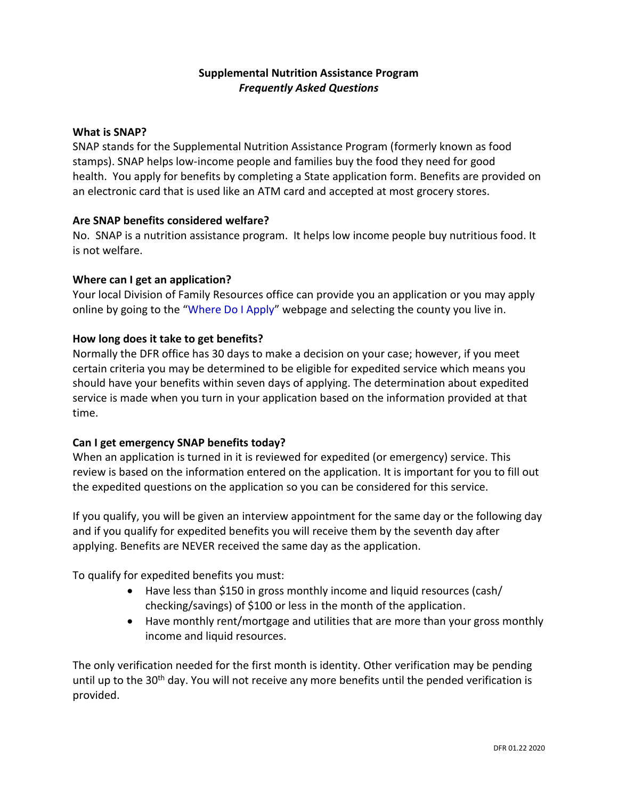# **Supplemental Nutrition Assistance Program** *Frequently Asked Questions*

### **What is SNAP?**

SNAP stands for the Supplemental Nutrition Assistance Program (formerly known as food stamps). SNAP helps low-income people and families buy the food they need for good health. Yo[u apply](http://www.fns.usda.gov/snap/applicant_recipients/apply.htm) for benefits by completing a State application form. Benefits are provided on an electronic card that is used like an ATM card and accepted at most grocery stores.

## **Are SNAP benefits considered welfare?**

No. SNAP is a nutrition assistance program. It helps low income people buy nutritious food. It is not welfare.

### **Where can I get an application?**

Your local Division of Family Resources office can provide you an application or you may apply online by going to the "[Where Do I Apply](http://www.in.gov/fssa/dfr/2999.htm)" webpage and selecting the county you live in.

### **How long does it take to get benefits?**

Normally the DFR office has 30 days to make a decision on your case; however, if you meet certain criteria you may be determined to be eligible for expedited service which means you should have your benefits within seven days of applying. The determination about expedited service is made when you turn in your application based on the information provided at that time.

# **Can I get emergency SNAP benefits today?**

When an application is turned in it is reviewed for expedited (or emergency) service. This review is based on the information entered on the application. It is important for you to fill out the expedited questions on the application so you can be considered for this service.

If you qualify, you will be given an interview appointment for the same day or the following day and if you qualify for expedited benefits you will receive them by the seventh day after applying. Benefits are NEVER received the same day as the application.

To qualify for expedited benefits you must:

- Have less than \$150 in gross monthly income and liquid resources (cash/ checking/savings) of \$100 or less in the month of the application.
- Have monthly rent/mortgage and utilities that are more than your gross monthly income and liquid resources.

The only verification needed for the first month is identity. Other verification may be pending until up to the 30<sup>th</sup> day. You will not receive any more benefits until the pended verification is provided.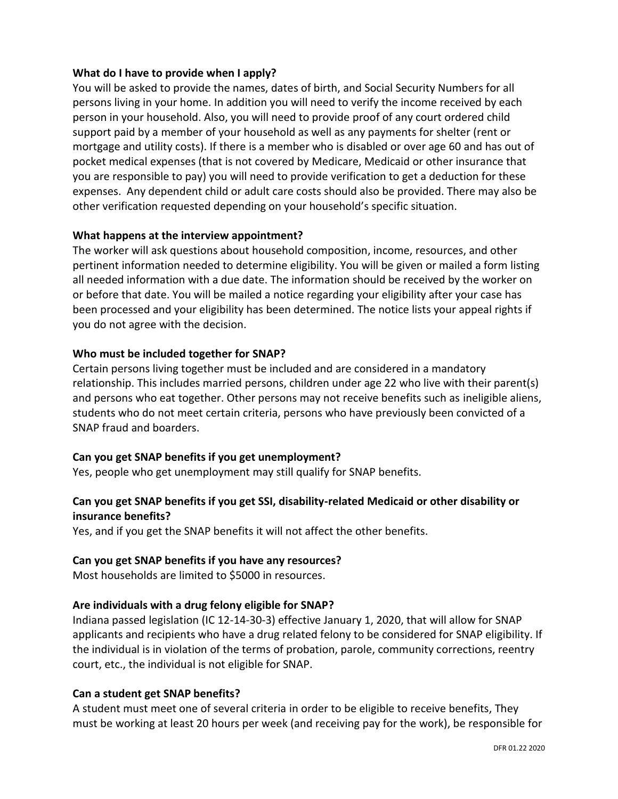# **What do I have to provide when I apply?**

You will be asked to provide the names, dates of birth, and Social Security Numbers for all persons living in your home. In addition you will need to verify the income received by each person in your household. Also, you will need to provide proof of any court ordered child support paid by a member of your household as well as any payments for shelter (rent or mortgage and utility costs). If there is a member who is disabled or over age 60 and has out of pocket medical expenses (that is not covered by Medicare, Medicaid or other insurance that you are responsible to pay) you will need to provide verification to get a deduction for these expenses. Any dependent child or adult care costs should also be provided. There may also be other verification requested depending on your household's specific situation.

### **What happens at the interview appointment?**

The worker will ask questions about household composition, income, resources, and other pertinent information needed to determine eligibility. You will be given or mailed a form listing all needed information with a due date. The information should be received by the worker on or before that date. You will be mailed a notice regarding your eligibility after your case has been processed and your eligibility has been determined. The notice lists your appeal rights if you do not agree with the decision.

### **Who must be included together for SNAP?**

Certain persons living together must be included and are considered in a mandatory relationship. This includes married persons, children under age 22 who live with their parent(s) and persons who eat together. Other persons may not receive benefits such as ineligible aliens, students who do not meet certain criteria, persons who have previously been convicted of a SNAP fraud and boarders.

# **Can you get SNAP benefits if you get unemployment?**

Yes, people who get unemployment may still qualify for SNAP benefits.

# **Can you get SNAP benefits if you get SSI, disability-related Medicaid or other disability or insurance benefits?**

Yes, and if you get the SNAP benefits it will not affect the other benefits.

#### **Can you get SNAP benefits if you have any resources?**

Most households are limited to \$5000 in resources.

#### **Are individuals with a drug felony eligible for SNAP?**

Indiana passed legislation (IC 12-14-30-3) effective January 1, 2020, that will allow for SNAP applicants and recipients who have a drug related felony to be considered for SNAP eligibility. If the individual is in violation of the terms of probation, parole, community corrections, reentry court, etc., the individual is not eligible for SNAP.

#### **Can a student get SNAP benefits?**

A student must meet one of several criteria in order to be eligible to receive benefits, They must be working at least 20 hours per week (and receiving pay for the work), be responsible for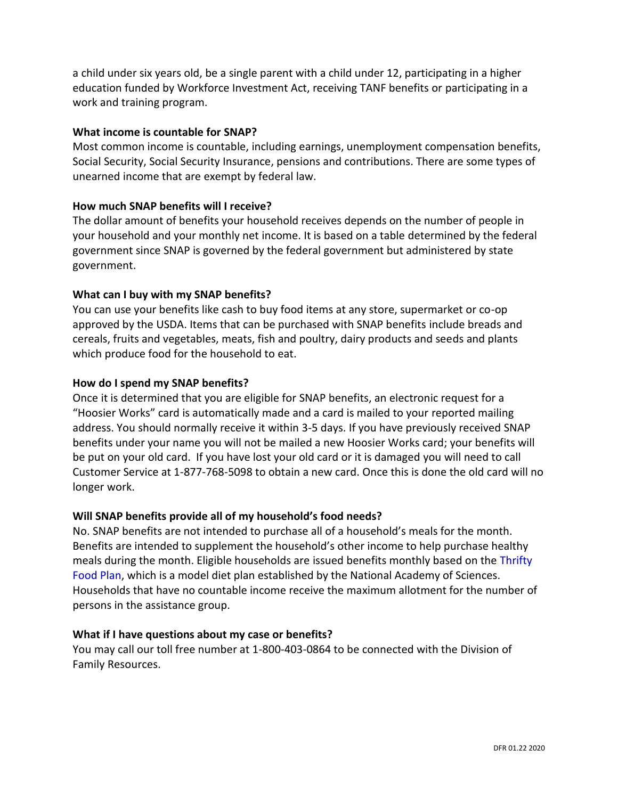a child under six years old, be a single parent with a child under 12, participating in a higher education funded by Workforce Investment Act, receiving TANF benefits or participating in a work and training program.

# **What income is countable for SNAP?**

Most common income is countable, including earnings, unemployment compensation benefits, Social Security, Social Security Insurance, pensions and contributions. There are some types of unearned income that are exempt by federal law.

# **How much SNAP benefits will I receive?**

The dollar amount of benefits your household receives depends on the number of people in your household and your monthly net income. It is based on a table determined by the federal government since SNAP is governed by the federal government but administered by state government.

### **What can I buy with my SNAP benefits?**

You can use your benefits like cash to buy food items at any store, supermarket or co-op approved by the USDA. Items that can be purchased with SNAP benefits include breads and cereals, fruits and vegetables, meats, fish and poultry, dairy products and seeds and plants which produce food for the household to eat.

### **How do I spend my SNAP benefits?**

Once it is determined that you are eligible for SNAP benefits, an electronic request for a "Hoosier Works" card is automatically made and a card is mailed to your reported mailing address. You should normally receive it within 3-5 days. If you have previously received SNAP benefits under your name you will not be mailed a new Hoosier Works card; your benefits will be put on your old card. If you have lost your old card or it is damaged you will need to call Customer Service at 1-877-768-5098 to obtain a new card. Once this is done the old card will no longer work.

# **Will SNAP benefits provide all of my household's food needs?**

No. SNAP benefits are not intended to purchase all of a household's meals for the month. Benefits are intended to supplement the household's other income to help purchase healthy meals during the month. Eligible households are issued benefits monthly based on the [Thrifty](http://www.cnpp.usda.gov/USDAFoodPlansCostofFood.htm)  [Food Plan,](http://www.cnpp.usda.gov/USDAFoodPlansCostofFood.htm) which is a model diet plan established by the National Academy of Sciences. Households that have no countable income receive the maximum allotment for the number of persons in the assistance group.

#### **What if I have questions about my case or benefits?**

You may call our toll free number at 1-800-403-0864 to be connected with the Division of Family Resources.